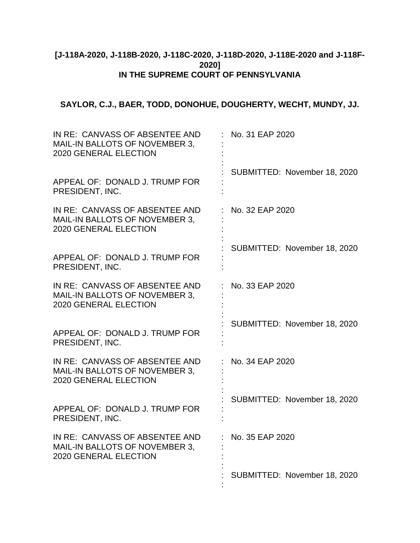# **[J-118A-2020, J-118B-2020, J-118C-2020, J-118D-2020, J-118E-2020 and J-118F-2020] IN THE SUPREME COURT OF PENNSYLVANIA**

# **SAYLOR, C.J., BAER, TODD, DONOHUE, DOUGHERTY, WECHT, MUNDY, JJ.**

| IN RE: CANVASS OF ABSENTEE AND<br>MAIL-IN BALLOTS OF NOVEMBER 3,<br>2020 GENERAL ELECTION        | No. 31 EAP 2020              |
|--------------------------------------------------------------------------------------------------|------------------------------|
| APPEAL OF: DONALD J. TRUMP FOR<br>PRESIDENT, INC.                                                | SUBMITTED: November 18, 2020 |
| IN RE: CANVASS OF ABSENTEE AND<br>MAIL-IN BALLOTS OF NOVEMBER 3,<br>2020 GENERAL ELECTION        | No. 32 EAP 2020              |
| APPEAL OF: DONALD J. TRUMP FOR<br>PRESIDENT, INC.                                                | SUBMITTED: November 18, 2020 |
| IN RE: CANVASS OF ABSENTEE AND<br>MAIL-IN BALLOTS OF NOVEMBER 3,<br><b>2020 GENERAL ELECTION</b> | No. 33 EAP 2020              |
| APPEAL OF: DONALD J. TRUMP FOR<br>PRESIDENT, INC.                                                | SUBMITTED: November 18, 2020 |
| IN RE: CANVASS OF ABSENTEE AND<br>MAIL-IN BALLOTS OF NOVEMBER 3,<br><b>2020 GENERAL ELECTION</b> | No. 34 EAP 2020              |
| APPEAL OF: DONALD J. TRUMP FOR<br>PRESIDENT, INC.                                                | SUBMITTED: November 18, 2020 |
| IN RE: CANVASS OF ABSENTEE AND<br>MAIL-IN BALLOTS OF NOVEMBER 3,<br><b>2020 GENERAL ELECTION</b> | No. 35 EAP 2020              |
|                                                                                                  | SUBMITTED: November 18, 2020 |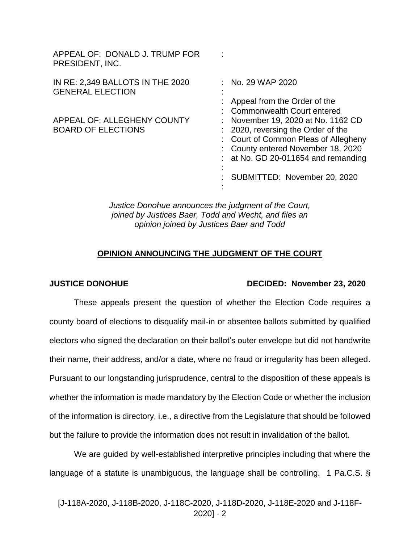| APPEAL OF: DONALD J. TRUMP FOR<br>PRESIDENT, INC.           |                                                                                                                                                                                                                     |
|-------------------------------------------------------------|---------------------------------------------------------------------------------------------------------------------------------------------------------------------------------------------------------------------|
| IN RE: 2,349 BALLOTS IN THE 2020<br><b>GENERAL ELECTION</b> | : No. 29 WAP 2020<br>Appeal from the Order of the<br><b>Commonwealth Court entered</b>                                                                                                                              |
| APPEAL OF: ALLEGHENY COUNTY<br><b>BOARD OF ELECTIONS</b>    | November 19, 2020 at No. 1162 CD<br>2020, reversing the Order of the<br>Court of Common Pleas of Allegheny<br>County entered November 18, 2020<br>at No. GD 20-011654 and remanding<br>SUBMITTED: November 20, 2020 |

*Justice Donohue announces the judgment of the Court, joined by Justices Baer, Todd and Wecht, and files an opinion joined by Justices Baer and Todd*

## **OPINION ANNOUNCING THE JUDGMENT OF THE COURT**

### **JUSTICE DONOHUE DECIDED: November 23, 2020**

These appeals present the question of whether the Election Code requires a county board of elections to disqualify mail-in or absentee ballots submitted by qualified electors who signed the declaration on their ballot's outer envelope but did not handwrite their name, their address, and/or a date, where no fraud or irregularity has been alleged. Pursuant to our longstanding jurisprudence, central to the disposition of these appeals is whether the information is made mandatory by the Election Code or whether the inclusion of the information is directory, i.e., a directive from the Legislature that should be followed but the failure to provide the information does not result in invalidation of the ballot.

We are guided by well-established interpretive principles including that where the language of a statute is unambiguous, the language shall be controlling. 1 Pa.C.S. §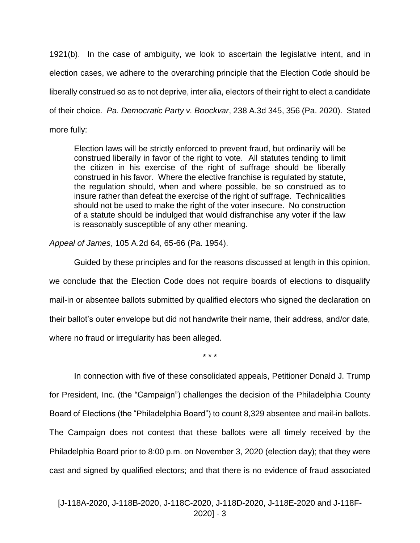1921(b). In the case of ambiguity, we look to ascertain the legislative intent, and in election cases, we adhere to the overarching principle that the Election Code should be liberally construed so as to not deprive, inter alia, electors of their right to elect a candidate of their choice. *Pa. Democratic Party v. Boockvar*, 238 A.3d 345, 356 (Pa. 2020). Stated more fully:

Election laws will be strictly enforced to prevent fraud, but ordinarily will be construed liberally in favor of the right to vote. All statutes tending to limit the citizen in his exercise of the right of suffrage should be liberally construed in his favor. Where the elective franchise is regulated by statute, the regulation should, when and where possible, be so construed as to insure rather than defeat the exercise of the right of suffrage. Technicalities should not be used to make the right of the voter insecure. No construction of a statute should be indulged that would disfranchise any voter if the law is reasonably susceptible of any other meaning.

*Appeal of James*, 105 A.2d 64, 65-66 (Pa. 1954).

Guided by these principles and for the reasons discussed at length in this opinion, we conclude that the Election Code does not require boards of elections to disqualify mail-in or absentee ballots submitted by qualified electors who signed the declaration on their ballot's outer envelope but did not handwrite their name, their address, and/or date, where no fraud or irregularity has been alleged.

\* \* \*

In connection with five of these consolidated appeals, Petitioner Donald J. Trump for President, Inc. (the "Campaign") challenges the decision of the Philadelphia County Board of Elections (the "Philadelphia Board") to count 8,329 absentee and mail-in ballots. The Campaign does not contest that these ballots were all timely received by the Philadelphia Board prior to 8:00 p.m. on November 3, 2020 (election day); that they were cast and signed by qualified electors; and that there is no evidence of fraud associated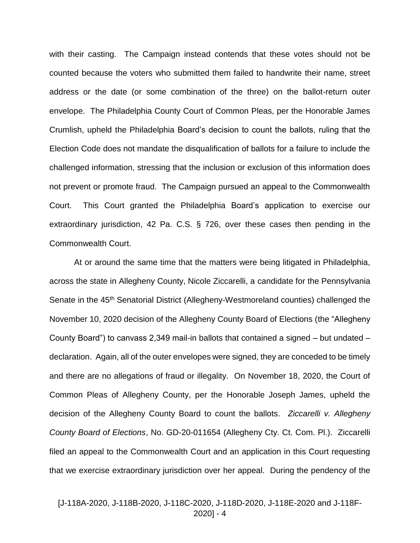with their casting. The Campaign instead contends that these votes should not be counted because the voters who submitted them failed to handwrite their name, street address or the date (or some combination of the three) on the ballot-return outer envelope. The Philadelphia County Court of Common Pleas, per the Honorable James Crumlish, upheld the Philadelphia Board's decision to count the ballots, ruling that the Election Code does not mandate the disqualification of ballots for a failure to include the challenged information, stressing that the inclusion or exclusion of this information does not prevent or promote fraud. The Campaign pursued an appeal to the Commonwealth Court. This Court granted the Philadelphia Board's application to exercise our extraordinary jurisdiction, 42 Pa. C.S. § 726, over these cases then pending in the Commonwealth Court.

At or around the same time that the matters were being litigated in Philadelphia, across the state in Allegheny County, Nicole Ziccarelli, a candidate for the Pennsylvania Senate in the 45<sup>th</sup> Senatorial District (Allegheny-Westmoreland counties) challenged the November 10, 2020 decision of the Allegheny County Board of Elections (the "Allegheny County Board") to canvass 2,349 mail-in ballots that contained a signed – but undated – declaration. Again, all of the outer envelopes were signed, they are conceded to be timely and there are no allegations of fraud or illegality. On November 18, 2020, the Court of Common Pleas of Allegheny County, per the Honorable Joseph James, upheld the decision of the Allegheny County Board to count the ballots. *Ziccarelli v. Allegheny County Board of Elections*, No. GD-20-011654 (Allegheny Cty. Ct. Com. Pl.). Ziccarelli filed an appeal to the Commonwealth Court and an application in this Court requesting that we exercise extraordinary jurisdiction over her appeal. During the pendency of the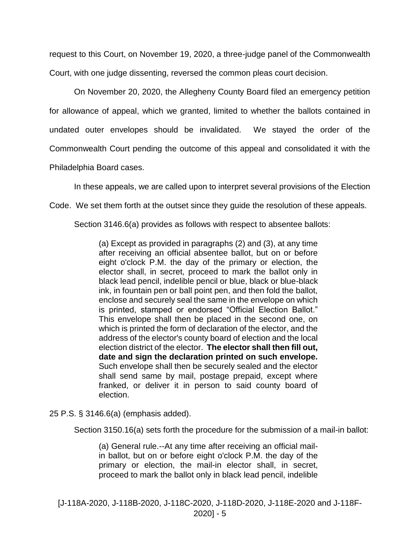request to this Court, on November 19, 2020, a three-judge panel of the Commonwealth Court, with one judge dissenting, reversed the common pleas court decision.

On November 20, 2020, the Allegheny County Board filed an emergency petition for allowance of appeal, which we granted, limited to whether the ballots contained in undated outer envelopes should be invalidated. We stayed the order of the Commonwealth Court pending the outcome of this appeal and consolidated it with the

Philadelphia Board cases.

In these appeals, we are called upon to interpret several provisions of the Election

Code. We set them forth at the outset since they guide the resolution of these appeals.

Section 3146.6(a) provides as follows with respect to absentee ballots:

(a) Except as provided in paragraphs (2) and (3), at any time after receiving an official absentee ballot, but on or before eight o'clock P.M. the day of the primary or election, the elector shall, in secret, proceed to mark the ballot only in black lead pencil, indelible pencil or blue, black or blue-black ink, in fountain pen or ball point pen, and then fold the ballot, enclose and securely seal the same in the envelope on which is printed, stamped or endorsed "Official Election Ballot." This envelope shall then be placed in the second one, on which is printed the form of declaration of the elector, and the address of the elector's county board of election and the local election district of the elector. **The elector shall then fill out, date and sign the declaration printed on such envelope.**  Such envelope shall then be securely sealed and the elector shall send same by mail, postage prepaid, except where franked, or deliver it in person to said county board of election.

25 P.S. § 3146.6(a) (emphasis added).

Section 3150.16(a) sets forth the procedure for the submission of a mail-in ballot:

(a) General rule.--At any time after receiving an official mailin ballot, but on or before eight o'clock P.M. the day of the primary or election, the mail-in elector shall, in secret, proceed to mark the ballot only in black lead pencil, indelible

[J-118A-2020, J-118B-2020, J-118C-2020, J-118D-2020, J-118E-2020 and J-118F-2020] - 5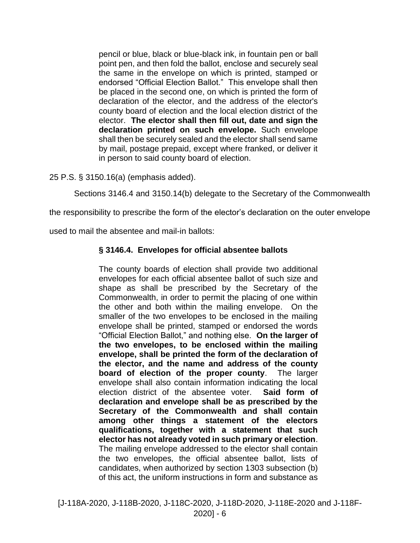pencil or blue, black or blue-black ink, in fountain pen or ball point pen, and then fold the ballot, enclose and securely seal the same in the envelope on which is printed, stamped or endorsed "Official Election Ballot." This envelope shall then be placed in the second one, on which is printed the form of declaration of the elector, and the address of the elector's county board of election and the local election district of the elector. **The elector shall then fill out, date and sign the declaration printed on such envelope.** Such envelope shall then be securely sealed and the elector shall send same by mail, postage prepaid, except where franked, or deliver it in person to said county board of election.

25 P.S. § 3150.16(a) (emphasis added).

Sections 3146.4 and 3150.14(b) delegate to the Secretary of the Commonwealth

the responsibility to prescribe the form of the elector's declaration on the outer envelope

used to mail the absentee and mail-in ballots:

## **§ 3146.4. Envelopes for official absentee ballots**

The county boards of election shall provide two additional envelopes for each official absentee ballot of such size and shape as shall be prescribed by the Secretary of the Commonwealth, in order to permit the placing of one within the other and both within the mailing envelope. On the smaller of the two envelopes to be enclosed in the mailing envelope shall be printed, stamped or endorsed the words "Official Election Ballot," and nothing else. **On the larger of the two envelopes, to be enclosed within the mailing envelope, shall be printed the form of the declaration of the elector, and the name and address of the county board of election of the proper county**. The larger envelope shall also contain information indicating the local election district of the absentee voter. **Said form of declaration and envelope shall be as prescribed by the Secretary of the Commonwealth and shall contain among other things a statement of the electors qualifications, together with a statement that such elector has not already voted in such primary or election**. The mailing envelope addressed to the elector shall contain the two envelopes, the official absentee ballot, lists of candidates, when authorized by section 1303 subsection (b) of this act, the uniform instructions in form and substance as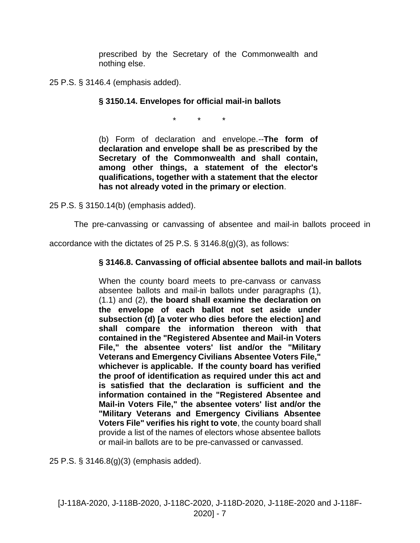prescribed by the Secretary of the Commonwealth and nothing else.

25 P.S. § 3146.4 (emphasis added).

# **§ 3150.14. Envelopes for official mail-in ballots**

\* \* \*

(b) Form of declaration and envelope.--**The form of declaration and envelope shall be as prescribed by the Secretary of the Commonwealth and shall contain, among other things, a statement of the elector's qualifications, together with a statement that the elector has not already voted in the primary or election**.

25 P.S. § 3150.14(b) (emphasis added).

The pre-canvassing or canvassing of absentee and mail-in ballots proceed in

accordance with the dictates of 25 P.S. § 3146.8(g)(3), as follows:

# **§ 3146.8. Canvassing of official absentee ballots and mail-in ballots**

When the county board meets to pre-canvass or canvass absentee ballots and mail-in ballots under paragraphs (1), (1.1) and (2), **the board shall examine the declaration on the envelope of each ballot not set aside under subsection (d) [a voter who dies before the election] and shall compare the information thereon with that contained in the "Registered Absentee and Mail-in Voters File," the absentee voters' list and/or the "Military Veterans and Emergency Civilians Absentee Voters File," whichever is applicable. If the county board has verified the proof of identification as required under this act and is satisfied that the declaration is sufficient and the information contained in the "Registered Absentee and Mail-in Voters File," the absentee voters' list and/or the "Military Veterans and Emergency Civilians Absentee Voters File" verifies his right to vote**, the county board shall provide a list of the names of electors whose absentee ballots or mail-in ballots are to be pre-canvassed or canvassed.

25 P.S. § 3146.8(g)(3) (emphasis added).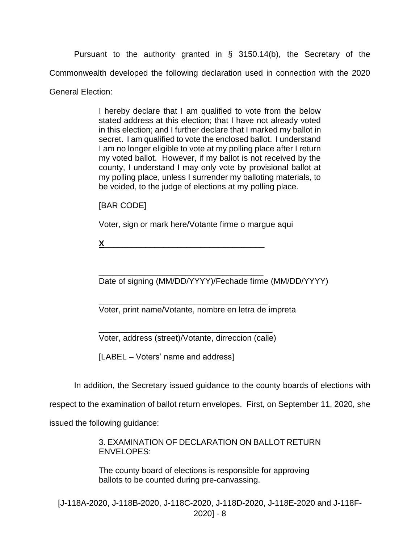Pursuant to the authority granted in § 3150.14(b), the Secretary of the Commonwealth developed the following declaration used in connection with the 2020 General Election:

> I hereby declare that I am qualified to vote from the below stated address at this election; that I have not already voted in this election; and I further declare that I marked my ballot in secret. I am qualified to vote the enclosed ballot. I understand I am no longer eligible to vote at my polling place after I return my voted ballot. However, if my ballot is not received by the county, I understand I may only vote by provisional ballot at my polling place, unless I surrender my balloting materials, to be voided, to the judge of elections at my polling place.

[BAR CODE]

Voter, sign or mark here/Votante firme o margue aqui

 $X$ 

\_\_\_\_\_\_\_\_\_\_\_\_\_\_\_\_\_\_\_\_\_\_\_\_\_\_\_\_\_\_\_\_\_\_\_\_ Date of signing (MM/DD/YYYY)/Fechade firme (MM/DD/YYYY)

Voter, print name/Votante, nombre en letra de impreta

\_\_\_\_\_\_\_\_\_\_\_\_\_\_\_\_\_\_\_\_\_\_\_\_\_\_\_\_\_\_\_\_\_\_\_\_\_\_ Voter, address (street)/Votante, dirreccion (calle)

\_\_\_\_\_\_\_\_\_\_\_\_\_\_\_\_\_\_\_\_\_\_\_\_\_\_\_\_\_\_\_\_\_\_\_\_\_

[LABEL – Voters' name and address]

In addition, the Secretary issued guidance to the county boards of elections with

respect to the examination of ballot return envelopes. First, on September 11, 2020, she

issued the following guidance:

3. EXAMINATION OF DECLARATION ON BALLOT RETURN ENVELOPES:

The county board of elections is responsible for approving ballots to be counted during pre-canvassing.

[J-118A-2020, J-118B-2020, J-118C-2020, J-118D-2020, J-118E-2020 and J-118F-2020] - 8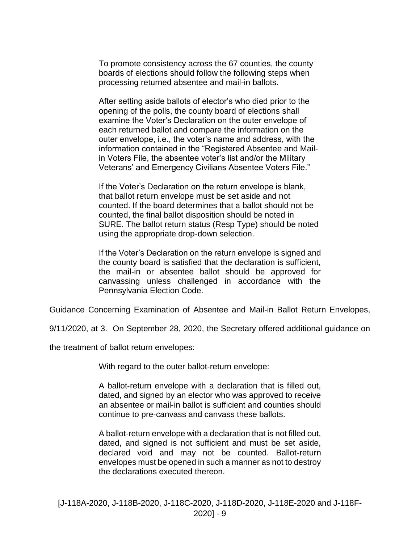To promote consistency across the 67 counties, the county boards of elections should follow the following steps when processing returned absentee and mail-in ballots.

After setting aside ballots of elector's who died prior to the opening of the polls, the county board of elections shall examine the Voter's Declaration on the outer envelope of each returned ballot and compare the information on the outer envelope, i.e., the voter's name and address, with the information contained in the "Registered Absentee and Mailin Voters File, the absentee voter's list and/or the Military Veterans' and Emergency Civilians Absentee Voters File."

If the Voter's Declaration on the return envelope is blank, that ballot return envelope must be set aside and not counted. If the board determines that a ballot should not be counted, the final ballot disposition should be noted in SURE. The ballot return status (Resp Type) should be noted using the appropriate drop-down selection.

If the Voter's Declaration on the return envelope is signed and the county board is satisfied that the declaration is sufficient, the mail-in or absentee ballot should be approved for canvassing unless challenged in accordance with the Pennsylvania Election Code.

Guidance Concerning Examination of Absentee and Mail-in Ballot Return Envelopes,

9/11/2020, at 3. On September 28, 2020, the Secretary offered additional guidance on

the treatment of ballot return envelopes:

With regard to the outer ballot-return envelope:

A ballot‐return envelope with a declaration that is filled out, dated, and signed by an elector who was approved to receive an absentee or mail‐in ballot is sufficient and counties should continue to pre‐canvass and canvass these ballots.

A ballot‐return envelope with a declaration that is not filled out, dated, and signed is not sufficient and must be set aside, declared void and may not be counted. Ballot‐return envelopes must be opened in such a manner as not to destroy the declarations executed thereon.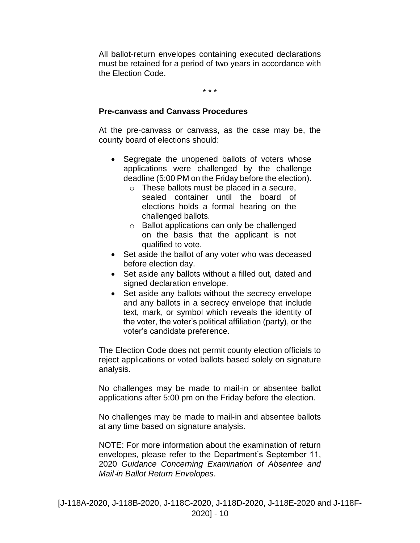All ballot-return envelopes containing executed declarations must be retained for a period of two years in accordance with the Election Code.

\* \* \*

## **Pre**‐**canvass and Canvass Procedures**

At the pre‐canvass or canvass, as the case may be, the county board of elections should:

- Segregate the unopened ballots of voters whose applications were challenged by the challenge deadline (5:00 PM on the Friday before the election).
	- o These ballots must be placed in a secure, sealed container until the board of elections holds a formal hearing on the challenged ballots.
	- o Ballot applications can only be challenged on the basis that the applicant is not qualified to vote.
- Set aside the ballot of any voter who was deceased before election day.
- Set aside any ballots without a filled out, dated and signed declaration envelope.
- Set aside any ballots without the secrecy envelope and any ballots in a secrecy envelope that include text, mark, or symbol which reveals the identity of the voter, the voter's political affiliation (party), or the voter's candidate preference.

The Election Code does not permit county election officials to reject applications or voted ballots based solely on signature analysis.

No challenges may be made to mail‐in or absentee ballot applications after 5:00 pm on the Friday before the election.

No challenges may be made to mail‐in and absentee ballots at any time based on signature analysis.

NOTE: For more information about the examination of return envelopes, please refer to the Department's September 11, 2020 *Guidance Concerning Examination of Absentee and Mail*‐*in Ballot Return Envelopes*.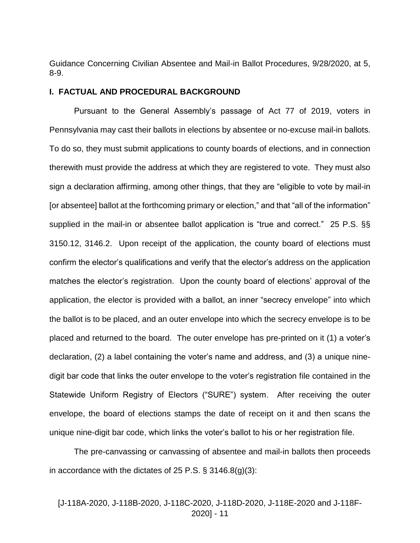Guidance Concerning Civilian Absentee and Mail-in Ballot Procedures, 9/28/2020, at 5, 8-9.

#### **I. FACTUAL AND PROCEDURAL BACKGROUND**

Pursuant to the General Assembly's passage of Act 77 of 2019, voters in Pennsylvania may cast their ballots in elections by absentee or no-excuse mail-in ballots. To do so, they must submit applications to county boards of elections, and in connection therewith must provide the address at which they are registered to vote. They must also sign a declaration affirming, among other things, that they are "eligible to vote by mail-in [or absentee] ballot at the forthcoming primary or election," and that "all of the information" supplied in the mail-in or absentee ballot application is "true and correct." 25 P.S. §§ 3150.12, 3146.2. Upon receipt of the application, the county board of elections must confirm the elector's qualifications and verify that the elector's address on the application matches the elector's registration. Upon the county board of elections' approval of the application, the elector is provided with a ballot, an inner "secrecy envelope" into which the ballot is to be placed, and an outer envelope into which the secrecy envelope is to be placed and returned to the board. The outer envelope has pre-printed on it (1) a voter's declaration, (2) a label containing the voter's name and address, and (3) a unique ninedigit bar code that links the outer envelope to the voter's registration file contained in the Statewide Uniform Registry of Electors ("SURE") system. After receiving the outer envelope, the board of elections stamps the date of receipt on it and then scans the unique nine-digit bar code, which links the voter's ballot to his or her registration file.

The pre-canvassing or canvassing of absentee and mail-in ballots then proceeds in accordance with the dictates of 25 P.S. § 3146.8(g)(3):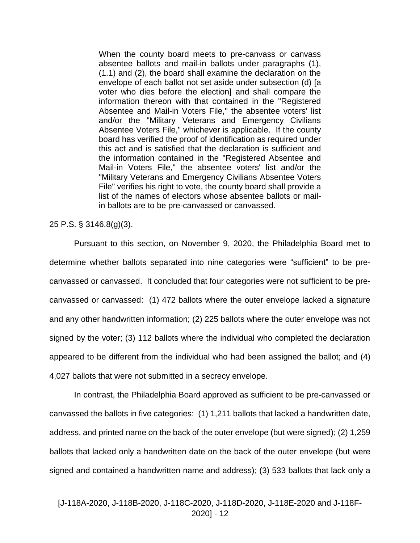When the county board meets to pre-canvass or canvass absentee ballots and mail-in ballots under paragraphs (1), (1.1) and (2), the board shall examine the declaration on the envelope of each ballot not set aside under subsection (d) [a voter who dies before the election] and shall compare the information thereon with that contained in the "Registered Absentee and Mail-in Voters File," the absentee voters' list and/or the "Military Veterans and Emergency Civilians Absentee Voters File," whichever is applicable. If the county board has verified the proof of identification as required under this act and is satisfied that the declaration is sufficient and the information contained in the "Registered Absentee and Mail-in Voters File," the absentee voters' list and/or the "Military Veterans and Emergency Civilians Absentee Voters File" verifies his right to vote, the county board shall provide a list of the names of electors whose absentee ballots or mailin ballots are to be pre-canvassed or canvassed.

### 25 P.S. § 3146.8(g)(3).

Pursuant to this section, on November 9, 2020, the Philadelphia Board met to determine whether ballots separated into nine categories were "sufficient" to be precanvassed or canvassed. It concluded that four categories were not sufficient to be precanvassed or canvassed: (1) 472 ballots where the outer envelope lacked a signature and any other handwritten information; (2) 225 ballots where the outer envelope was not signed by the voter; (3) 112 ballots where the individual who completed the declaration appeared to be different from the individual who had been assigned the ballot; and (4) 4,027 ballots that were not submitted in a secrecy envelope.

In contrast, the Philadelphia Board approved as sufficient to be pre-canvassed or canvassed the ballots in five categories: (1) 1,211 ballots that lacked a handwritten date, address, and printed name on the back of the outer envelope (but were signed); (2) 1,259 ballots that lacked only a handwritten date on the back of the outer envelope (but were signed and contained a handwritten name and address); (3) 533 ballots that lack only a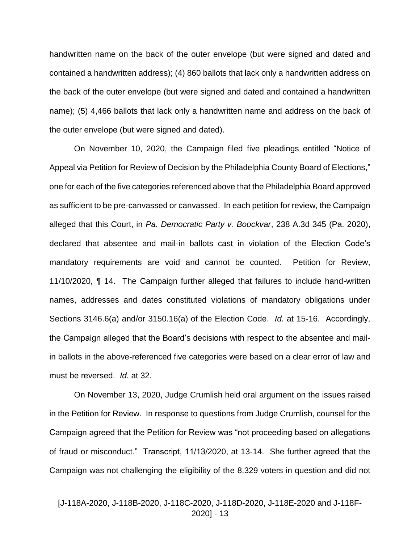handwritten name on the back of the outer envelope (but were signed and dated and contained a handwritten address); (4) 860 ballots that lack only a handwritten address on the back of the outer envelope (but were signed and dated and contained a handwritten name); (5) 4,466 ballots that lack only a handwritten name and address on the back of the outer envelope (but were signed and dated).

On November 10, 2020, the Campaign filed five pleadings entitled "Notice of Appeal via Petition for Review of Decision by the Philadelphia County Board of Elections," one for each of the five categories referenced above that the Philadelphia Board approved as sufficient to be pre-canvassed or canvassed. In each petition for review, the Campaign alleged that this Court, in *Pa. Democratic Party v. Boockvar*, 238 A.3d 345 (Pa. 2020), declared that absentee and mail-in ballots cast in violation of the Election Code's mandatory requirements are void and cannot be counted. Petition for Review, 11/10/2020, ¶ 14. The Campaign further alleged that failures to include hand-written names, addresses and dates constituted violations of mandatory obligations under Sections 3146.6(a) and/or 3150.16(a) of the Election Code. *Id.* at 15-16. Accordingly, the Campaign alleged that the Board's decisions with respect to the absentee and mailin ballots in the above-referenced five categories were based on a clear error of law and must be reversed. *Id.* at 32.

On November 13, 2020, Judge Crumlish held oral argument on the issues raised in the Petition for Review. In response to questions from Judge Crumlish, counsel for the Campaign agreed that the Petition for Review was "not proceeding based on allegations of fraud or misconduct." Transcript, 11/13/2020, at 13-14. She further agreed that the Campaign was not challenging the eligibility of the 8,329 voters in question and did not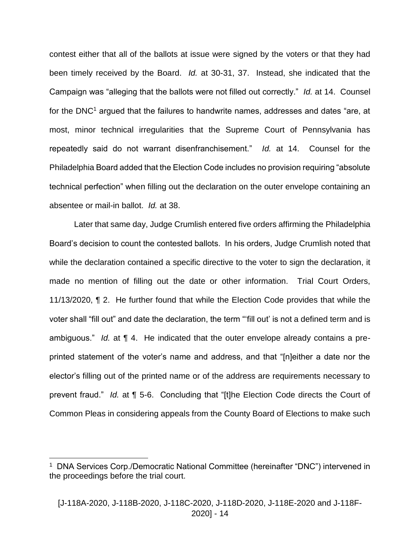contest either that all of the ballots at issue were signed by the voters or that they had been timely received by the Board. *Id.* at 30-31, 37. Instead, she indicated that the Campaign was "alleging that the ballots were not filled out correctly." *Id.* at 14. Counsel for the DNC<sup>1</sup> argued that the failures to handwrite names, addresses and dates "are, at most, minor technical irregularities that the Supreme Court of Pennsylvania has repeatedly said do not warrant disenfranchisement." *Id.* at 14. Counsel for the Philadelphia Board added that the Election Code includes no provision requiring "absolute technical perfection" when filling out the declaration on the outer envelope containing an absentee or mail-in ballot. *Id.* at 38.

Later that same day, Judge Crumlish entered five orders affirming the Philadelphia Board's decision to count the contested ballots. In his orders, Judge Crumlish noted that while the declaration contained a specific directive to the voter to sign the declaration, it made no mention of filling out the date or other information. Trial Court Orders, 11/13/2020, ¶ 2. He further found that while the Election Code provides that while the voter shall "fill out" and date the declaration, the term "'fill out' is not a defined term and is ambiguous." *Id.* at ¶ 4. He indicated that the outer envelope already contains a preprinted statement of the voter's name and address, and that "[n]either a date nor the elector's filling out of the printed name or of the address are requirements necessary to prevent fraud." *Id.* at ¶ 5-6. Concluding that "[t]he Election Code directs the Court of Common Pleas in considering appeals from the County Board of Elections to make such

 $\overline{a}$ 

<sup>&</sup>lt;sup>1</sup> DNA Services Corp./Democratic National Committee (hereinafter "DNC") intervened in the proceedings before the trial court.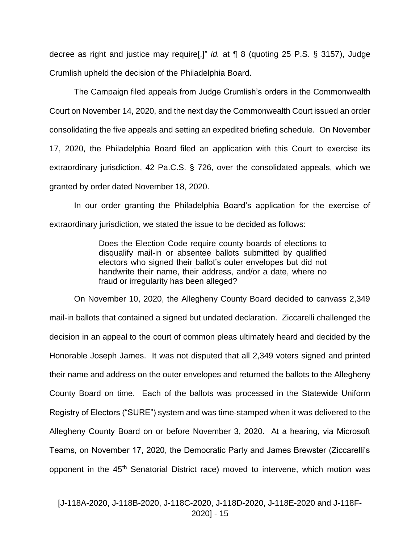decree as right and justice may require[,]" *id.* at ¶ 8 (quoting 25 P.S. § 3157), Judge Crumlish upheld the decision of the Philadelphia Board.

The Campaign filed appeals from Judge Crumlish's orders in the Commonwealth Court on November 14, 2020, and the next day the Commonwealth Court issued an order consolidating the five appeals and setting an expedited briefing schedule. On November 17, 2020, the Philadelphia Board filed an application with this Court to exercise its extraordinary jurisdiction, 42 Pa.C.S. § 726, over the consolidated appeals, which we granted by order dated November 18, 2020.

In our order granting the Philadelphia Board's application for the exercise of extraordinary jurisdiction, we stated the issue to be decided as follows:

> Does the Election Code require county boards of elections to disqualify mail-in or absentee ballots submitted by qualified electors who signed their ballot's outer envelopes but did not handwrite their name, their address, and/or a date, where no fraud or irregularity has been alleged?

On November 10, 2020, the Allegheny County Board decided to canvass 2,349 mail-in ballots that contained a signed but undated declaration. Ziccarelli challenged the decision in an appeal to the court of common pleas ultimately heard and decided by the Honorable Joseph James. It was not disputed that all 2,349 voters signed and printed their name and address on the outer envelopes and returned the ballots to the Allegheny County Board on time. Each of the ballots was processed in the Statewide Uniform Registry of Electors ("SURE") system and was time-stamped when it was delivered to the Allegheny County Board on or before November 3, 2020. At a hearing, via Microsoft Teams, on November 17, 2020, the Democratic Party and James Brewster (Ziccarelli's opponent in the 45<sup>th</sup> Senatorial District race) moved to intervene, which motion was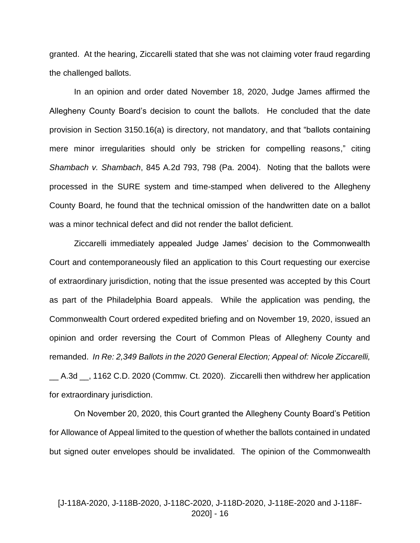granted. At the hearing, Ziccarelli stated that she was not claiming voter fraud regarding the challenged ballots.

In an opinion and order dated November 18, 2020, Judge James affirmed the Allegheny County Board's decision to count the ballots. He concluded that the date provision in Section 3150.16(a) is directory, not mandatory, and that "ballots containing mere minor irregularities should only be stricken for compelling reasons," citing *Shambach v. Shambach*, 845 A.2d 793, 798 (Pa. 2004). Noting that the ballots were processed in the SURE system and time-stamped when delivered to the Allegheny County Board, he found that the technical omission of the handwritten date on a ballot was a minor technical defect and did not render the ballot deficient.

Ziccarelli immediately appealed Judge James' decision to the Commonwealth Court and contemporaneously filed an application to this Court requesting our exercise of extraordinary jurisdiction, noting that the issue presented was accepted by this Court as part of the Philadelphia Board appeals. While the application was pending, the Commonwealth Court ordered expedited briefing and on November 19, 2020, issued an opinion and order reversing the Court of Common Pleas of Allegheny County and remanded. *In Re: 2,349 Ballots in the 2020 General Election; Appeal of: Nicole Ziccarelli,*  \_\_ A.3d \_\_, 1162 C.D. 2020 (Commw. Ct. 2020). Ziccarelli then withdrew her application for extraordinary jurisdiction.

On November 20, 2020, this Court granted the Allegheny County Board's Petition for Allowance of Appeal limited to the question of whether the ballots contained in undated but signed outer envelopes should be invalidated. The opinion of the Commonwealth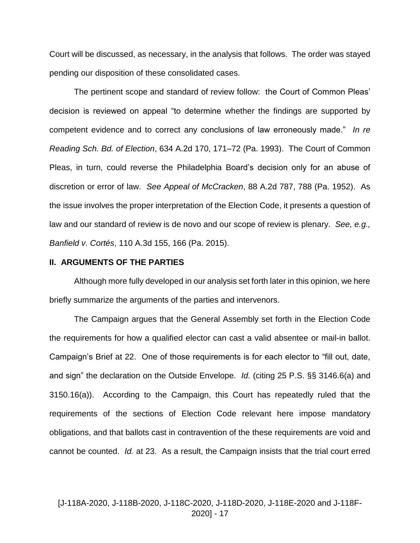Court will be discussed, as necessary, in the analysis that follows. The order was stayed pending our disposition of these consolidated cases.

The pertinent scope and standard of review follow: the Court of Common Pleas' decision is reviewed on appeal "to determine whether the findings are supported by competent evidence and to correct any conclusions of law erroneously made." *In re Reading Sch. Bd. of Election*, 634 A.2d 170, 171–72 (Pa. 1993). The Court of Common Pleas, in turn, could reverse the Philadelphia Board's decision only for an abuse of discretion or error of law. *See Appeal of McCracken*, 88 A.2d 787, 788 (Pa. 1952). As the issue involves the proper interpretation of the Election Code, it presents a question of law and our standard of review is de novo and our scope of review is plenary. *See, e.g., Banfield v. Cortés*, 110 A.3d 155, 166 (Pa. 2015).

## **II. ARGUMENTS OF THE PARTIES**

Although more fully developed in our analysis set forth later in this opinion, we here briefly summarize the arguments of the parties and intervenors.

The Campaign argues that the General Assembly set forth in the Election Code the requirements for how a qualified elector can cast a valid absentee or mail-in ballot. Campaign's Brief at 22. One of those requirements is for each elector to "fill out, date, and sign" the declaration on the Outside Envelope. *Id.* (citing 25 P.S. §§ 3146.6(a) and 3150.16(a)). According to the Campaign, this Court has repeatedly ruled that the requirements of the sections of Election Code relevant here impose mandatory obligations, and that ballots cast in contravention of the these requirements are void and cannot be counted. *Id.* at 23. As a result, the Campaign insists that the trial court erred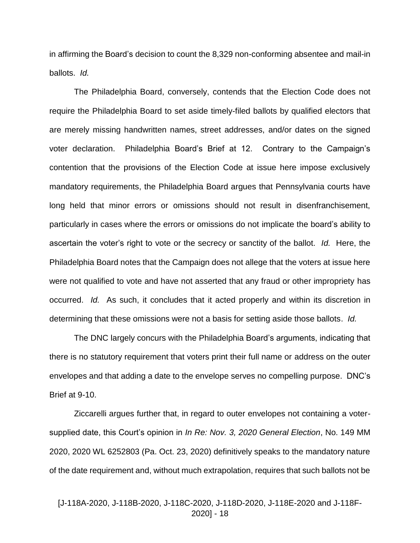in affirming the Board's decision to count the 8,329 non-conforming absentee and mail-in ballots. *Id.*

The Philadelphia Board, conversely, contends that the Election Code does not require the Philadelphia Board to set aside timely-filed ballots by qualified electors that are merely missing handwritten names, street addresses, and/or dates on the signed voter declaration. Philadelphia Board's Brief at 12. Contrary to the Campaign's contention that the provisions of the Election Code at issue here impose exclusively mandatory requirements, the Philadelphia Board argues that Pennsylvania courts have long held that minor errors or omissions should not result in disenfranchisement, particularly in cases where the errors or omissions do not implicate the board's ability to ascertain the voter's right to vote or the secrecy or sanctity of the ballot. *Id.* Here, the Philadelphia Board notes that the Campaign does not allege that the voters at issue here were not qualified to vote and have not asserted that any fraud or other impropriety has occurred. *Id.* As such, it concludes that it acted properly and within its discretion in determining that these omissions were not a basis for setting aside those ballots. *Id.*

The DNC largely concurs with the Philadelphia Board's arguments, indicating that there is no statutory requirement that voters print their full name or address on the outer envelopes and that adding a date to the envelope serves no compelling purpose. DNC's Brief at 9-10.

Ziccarelli argues further that, in regard to outer envelopes not containing a votersupplied date, this Court's opinion in *In Re: Nov. 3, 2020 General Election*, No. 149 MM 2020, 2020 WL 6252803 (Pa. Oct. 23, 2020) definitively speaks to the mandatory nature of the date requirement and, without much extrapolation, requires that such ballots not be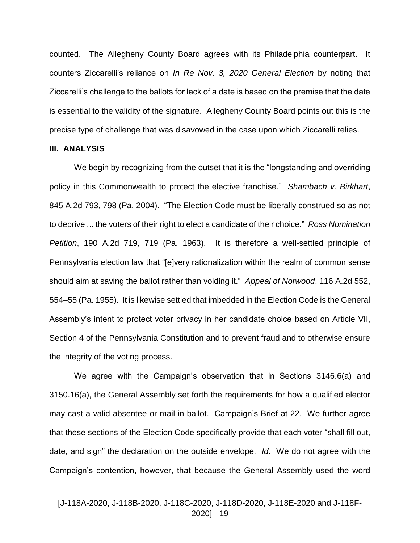counted. The Allegheny County Board agrees with its Philadelphia counterpart. It counters Ziccarelli's reliance on *In Re Nov. 3, 2020 General Election* by noting that Ziccarelli's challenge to the ballots for lack of a date is based on the premise that the date is essential to the validity of the signature. Allegheny County Board points out this is the precise type of challenge that was disavowed in the case upon which Ziccarelli relies.

#### **III. ANALYSIS**

We begin by recognizing from the outset that it is the "longstanding and overriding policy in this Commonwealth to protect the elective franchise." *Shambach v. Birkhart*, 845 A.2d 793, 798 (Pa. 2004). "The Election Code must be liberally construed so as not to deprive ... the voters of their right to elect a candidate of their choice." *Ross Nomination Petition*, 190 A.2d 719, 719 (Pa. 1963). It is therefore a well-settled principle of Pennsylvania election law that "[e]very rationalization within the realm of common sense should aim at saving the ballot rather than voiding it." *Appeal of Norwood*, 116 A.2d 552, 554–55 (Pa. 1955). It is likewise settled that imbedded in the Election Code is the General Assembly's intent to protect voter privacy in her candidate choice based on Article VII, Section 4 of the Pennsylvania Constitution and to prevent fraud and to otherwise ensure the integrity of the voting process.

We agree with the Campaign's observation that in Sections 3146.6(a) and 3150.16(a), the General Assembly set forth the requirements for how a qualified elector may cast a valid absentee or mail-in ballot. Campaign's Brief at 22. We further agree that these sections of the Election Code specifically provide that each voter "shall fill out, date, and sign" the declaration on the outside envelope. *Id.* We do not agree with the Campaign's contention, however, that because the General Assembly used the word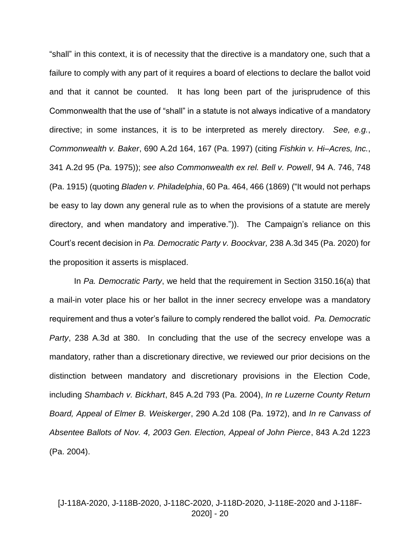"shall" in this context, it is of necessity that the directive is a mandatory one, such that a failure to comply with any part of it requires a board of elections to declare the ballot void and that it cannot be counted. It has long been part of the jurisprudence of this Commonwealth that the use of "shall" in a statute is not always indicative of a mandatory directive; in some instances, it is to be interpreted as merely directory. *See, e.g.*, *Commonwealth v. Baker*, 690 A.2d 164, 167 (Pa. 1997) (citing *Fishkin v. Hi–Acres, Inc.*, 341 A.2d 95 (Pa. 1975)); *see also Commonwealth ex rel. Bell v. Powell*, 94 A. 746, 748 (Pa. 1915) (quoting *Bladen v. Philadelphia*, 60 Pa. 464, 466 (1869) ("It would not perhaps be easy to lay down any general rule as to when the provisions of a statute are merely directory, and when mandatory and imperative.")). The Campaign's reliance on this Court's recent decision in *Pa. Democratic Party v. Boockvar,* 238 A.3d 345 (Pa. 2020) for the proposition it asserts is misplaced.

In *Pa. Democratic Party*, we held that the requirement in Section 3150.16(a) that a mail-in voter place his or her ballot in the inner secrecy envelope was a mandatory requirement and thus a voter's failure to comply rendered the ballot void. *Pa. Democratic Party*, 238 A.3d at 380. In concluding that the use of the secrecy envelope was a mandatory, rather than a discretionary directive, we reviewed our prior decisions on the distinction between mandatory and discretionary provisions in the Election Code, including *Shambach v. Bickhart*, 845 A.2d 793 (Pa. 2004), *In re Luzerne County Return Board, Appeal of Elmer B. Weiskerger*, 290 A.2d 108 (Pa. 1972), and *In re Canvass of Absentee Ballots of Nov. 4, 2003 Gen. Election, Appeal of John Pierce*, 843 A.2d 1223 (Pa. 2004).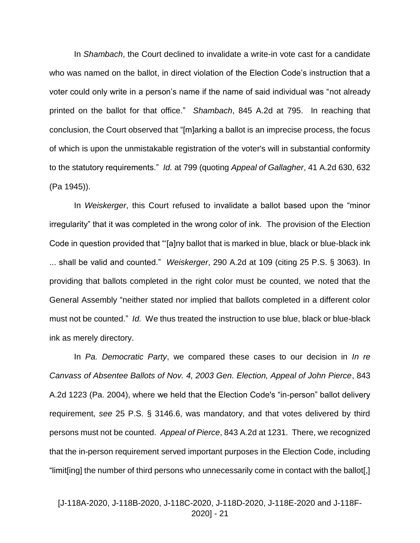In *Shambach*, the Court declined to invalidate a write-in vote cast for a candidate who was named on the ballot, in direct violation of the Election Code's instruction that a voter could only write in a person's name if the name of said individual was "not already printed on the ballot for that office." *Shambach*, 845 A.2d at 795. In reaching that conclusion, the Court observed that "[m]arking a ballot is an imprecise process, the focus of which is upon the unmistakable registration of the voter's will in substantial conformity to the statutory requirements." *Id.* at 799 (quoting *Appeal of Gallagher*, 41 A.2d 630, 632 (Pa 1945)).

In *Weiskerger*, this Court refused to invalidate a ballot based upon the "minor irregularity" that it was completed in the wrong color of ink. The provision of the Election Code in question provided that "'[a]ny ballot that is marked in blue, black or blue-black ink ... shall be valid and counted." *Weiskerger*, 290 A.2d at 109 (citing 25 P.S. § 3063). In providing that ballots completed in the right color must be counted, we noted that the General Assembly "neither stated nor implied that ballots completed in a different color must not be counted." *Id.* We thus treated the instruction to use blue, black or blue-black ink as merely directory.

In *Pa. Democratic Party*, we compared these cases to our decision in *In re Canvass of Absentee Ballots of Nov. 4, 2003 Gen. Election, Appeal of John Pierce*, 843 A.2d 1223 (Pa. 2004), where we held that the Election Code's "in-person" ballot delivery requirement, *see* 25 P.S. § 3146.6, was mandatory, and that votes delivered by third persons must not be counted. *Appeal of Pierce*, 843 A.2d at 1231. There, we recognized that the in-person requirement served important purposes in the Election Code, including "limit[ing] the number of third persons who unnecessarily come in contact with the ballot[,]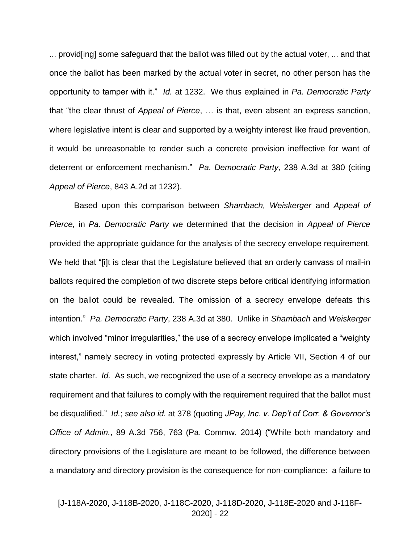... provid[ing] some safeguard that the ballot was filled out by the actual voter, ... and that once the ballot has been marked by the actual voter in secret, no other person has the opportunity to tamper with it." *Id.* at 1232. We thus explained in *Pa. Democratic Party* that "the clear thrust of *Appeal of Pierce*, … is that, even absent an express sanction, where legislative intent is clear and supported by a weighty interest like fraud prevention, it would be unreasonable to render such a concrete provision ineffective for want of deterrent or enforcement mechanism." *Pa. Democratic Party*, 238 A.3d at 380 (citing *Appeal of Pierce*, 843 A.2d at 1232).

Based upon this comparison between *Shambach, Weiskerger* and *Appeal of Pierce,* in *Pa. Democratic Party* we determined that the decision in *Appeal of Pierce* provided the appropriate guidance for the analysis of the secrecy envelope requirement. We held that "[i]t is clear that the Legislature believed that an orderly canvass of mail-in ballots required the completion of two discrete steps before critical identifying information on the ballot could be revealed. The omission of a secrecy envelope defeats this intention." *Pa. Democratic Party*, 238 A.3d at 380. Unlike in *Shambach* and *Weiskerger* which involved "minor irregularities," the use of a secrecy envelope implicated a "weighty interest," namely secrecy in voting protected expressly by Article VII, Section 4 of our state charter. *Id.* As such, we recognized the use of a secrecy envelope as a mandatory requirement and that failures to comply with the requirement required that the ballot must be disqualified." *Id.*; *see also id.* at 378 (quoting *JPay, Inc. v. Dep't of Corr. & Governor's Office of Admin.*, 89 A.3d 756, 763 (Pa. Commw. 2014) ("While both mandatory and directory provisions of the Legislature are meant to be followed, the difference between a mandatory and directory provision is the consequence for non-compliance: a failure to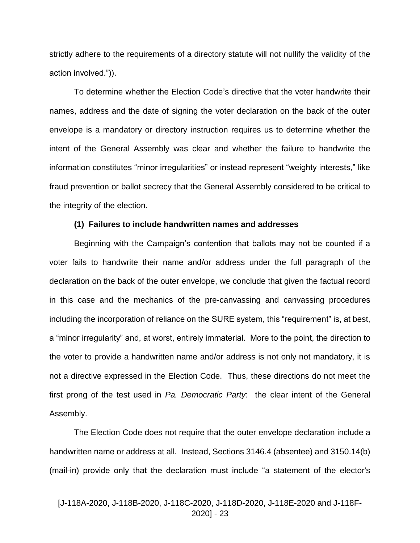strictly adhere to the requirements of a directory statute will not nullify the validity of the action involved.")).

To determine whether the Election Code's directive that the voter handwrite their names, address and the date of signing the voter declaration on the back of the outer envelope is a mandatory or directory instruction requires us to determine whether the intent of the General Assembly was clear and whether the failure to handwrite the information constitutes "minor irregularities" or instead represent "weighty interests," like fraud prevention or ballot secrecy that the General Assembly considered to be critical to the integrity of the election.

#### **(1) Failures to include handwritten names and addresses**

Beginning with the Campaign's contention that ballots may not be counted if a voter fails to handwrite their name and/or address under the full paragraph of the declaration on the back of the outer envelope, we conclude that given the factual record in this case and the mechanics of the pre-canvassing and canvassing procedures including the incorporation of reliance on the SURE system, this "requirement" is, at best, a "minor irregularity" and, at worst, entirely immaterial. More to the point, the direction to the voter to provide a handwritten name and/or address is not only not mandatory, it is not a directive expressed in the Election Code. Thus, these directions do not meet the first prong of the test used in *Pa. Democratic Party*: the clear intent of the General Assembly.

The Election Code does not require that the outer envelope declaration include a handwritten name or address at all. Instead, Sections 3146.4 (absentee) and 3150.14(b) (mail-in) provide only that the declaration must include "a statement of the elector's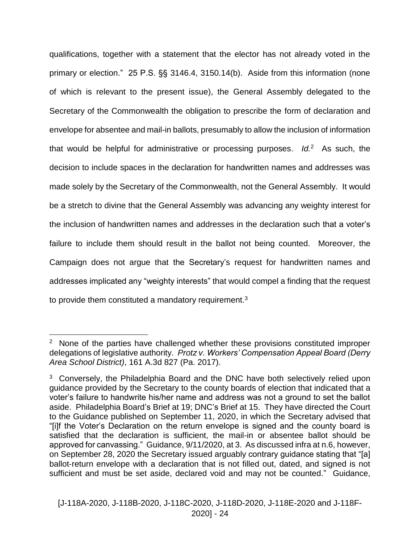qualifications, together with a statement that the elector has not already voted in the primary or election." 25 P.S. §§ 3146.4, 3150.14(b). Aside from this information (none of which is relevant to the present issue), the General Assembly delegated to the Secretary of the Commonwealth the obligation to prescribe the form of declaration and envelope for absentee and mail-in ballots, presumably to allow the inclusion of information that would be helpful for administrative or processing purposes. *Id.*<sup>2</sup> As such, the decision to include spaces in the declaration for handwritten names and addresses was made solely by the Secretary of the Commonwealth, not the General Assembly. It would be a stretch to divine that the General Assembly was advancing any weighty interest for the inclusion of handwritten names and addresses in the declaration such that a voter's failure to include them should result in the ballot not being counted. Moreover, the Campaign does not argue that the Secretary's request for handwritten names and addresses implicated any "weighty interests" that would compel a finding that the request to provide them constituted a mandatory requirement.<sup>3</sup>

 $\overline{a}$ 

<sup>&</sup>lt;sup>2</sup> None of the parties have challenged whether these provisions constituted improper delegations of legislative authority. *Protz v. Workers' Compensation Appeal Board (Derry Area School District)*, 161 A.3d 827 (Pa. 2017).

<sup>&</sup>lt;sup>3</sup> Conversely, the Philadelphia Board and the DNC have both selectively relied upon guidance provided by the Secretary to the county boards of election that indicated that a voter's failure to handwrite his/her name and address was not a ground to set the ballot aside. Philadelphia Board's Brief at 19; DNC's Brief at 15. They have directed the Court to the Guidance published on September 11, 2020, in which the Secretary advised that "[i]f the Voter's Declaration on the return envelope is signed and the county board is satisfied that the declaration is sufficient, the mail-in or absentee ballot should be approved for canvassing." Guidance, 9/11/2020, at 3. As discussed infra at n.6, however, on September 28, 2020 the Secretary issued arguably contrary guidance stating that "[a] ballot‐return envelope with a declaration that is not filled out, dated, and signed is not sufficient and must be set aside, declared void and may not be counted." Guidance,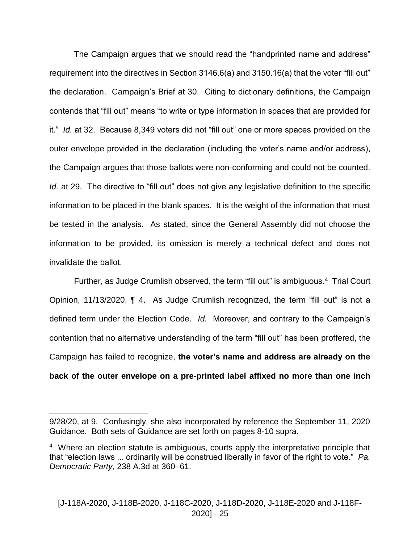The Campaign argues that we should read the "handprinted name and address" requirement into the directives in Section 3146.6(a) and 3150.16(a) that the voter "fill out" the declaration. Campaign's Brief at 30. Citing to dictionary definitions, the Campaign contends that "fill out" means "to write or type information in spaces that are provided for it." *Id.* at 32. Because 8,349 voters did not "fill out" one or more spaces provided on the outer envelope provided in the declaration (including the voter's name and/or address), the Campaign argues that those ballots were non-conforming and could not be counted. *Id.* at 29. The directive to "fill out" does not give any legislative definition to the specific information to be placed in the blank spaces. It is the weight of the information that must be tested in the analysis. As stated, since the General Assembly did not choose the information to be provided, its omission is merely a technical defect and does not invalidate the ballot.

Further, as Judge Crumlish observed, the term "fill out" is ambiguous.<sup>4</sup> Trial Court Opinion, 11/13/2020, ¶ 4. As Judge Crumlish recognized, the term "fill out" is not a defined term under the Election Code. *Id.* Moreover, and contrary to the Campaign's contention that no alternative understanding of the term "fill out" has been proffered, the Campaign has failed to recognize, **the voter's name and address are already on the back of the outer envelope on a pre-printed label affixed no more than one inch** 

 $\overline{a}$ 

<sup>9/28/20,</sup> at 9. Confusingly, she also incorporated by reference the September 11, 2020 Guidance. Both sets of Guidance are set forth on pages 8-10 supra.

<sup>&</sup>lt;sup>4</sup> Where an election statute is ambiguous, courts apply the interpretative principle that that "election laws ... ordinarily will be construed liberally in favor of the right to vote." *Pa. Democratic Party*, 238 A.3d at 360–61.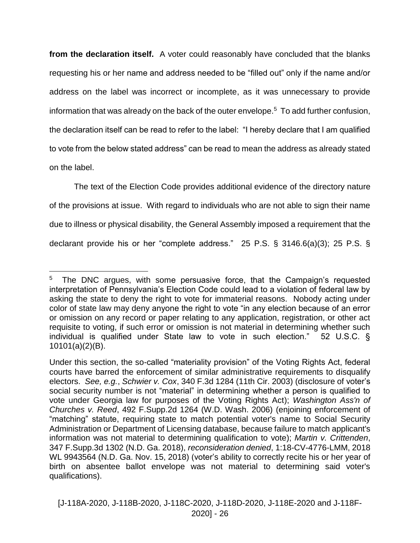**from the declaration itself.** A voter could reasonably have concluded that the blanks requesting his or her name and address needed to be "filled out" only if the name and/or address on the label was incorrect or incomplete, as it was unnecessary to provide information that was already on the back of the outer envelope.<sup>5</sup> To add further confusion, the declaration itself can be read to refer to the label: "I hereby declare that I am qualified to vote from the below stated address" can be read to mean the address as already stated on the label.

The text of the Election Code provides additional evidence of the directory nature of the provisions at issue. With regard to individuals who are not able to sign their name due to illness or physical disability, the General Assembly imposed a requirement that the declarant provide his or her "complete address." 25 P.S. § 3146.6(a)(3); 25 P.S. §

 $\overline{a}$ 5 The DNC argues, with some persuasive force, that the Campaign's requested interpretation of Pennsylvania's Election Code could lead to a violation of federal law by asking the state to deny the right to vote for immaterial reasons. Nobody acting under color of state law may deny anyone the right to vote "in any election because of an error or omission on any record or paper relating to any application, registration, or other act requisite to voting, if such error or omission is not material in determining whether such individual is qualified under State law to vote in such election." 52 U.S.C. § 10101(a)(2)(B).

Under this section, the so-called "materiality provision" of the Voting Rights Act, federal courts have barred the enforcement of similar administrative requirements to disqualify electors. *See, e.g.*, *Schwier v. Cox*, 340 F.3d 1284 (11th Cir. 2003) (disclosure of voter's social security number is not "material" in determining whether a person is qualified to vote under Georgia law for purposes of the Voting Rights Act); *Washington Ass'n of Churches v. Reed*, 492 F.Supp.2d 1264 (W.D. Wash. 2006) (enjoining enforcement of "matching" statute, requiring state to match potential voter's name to Social Security Administration or Department of Licensing database, because failure to match applicant's information was not material to determining qualification to vote); *Martin v. Crittenden*, 347 F.Supp.3d 1302 (N.D. Ga. 2018), *reconsideration denied*, 1:18-CV-4776-LMM, 2018 WL 9943564 (N.D. Ga. Nov. 15, 2018) (voter's ability to correctly recite his or her year of birth on absentee ballot envelope was not material to determining said voter's qualifications).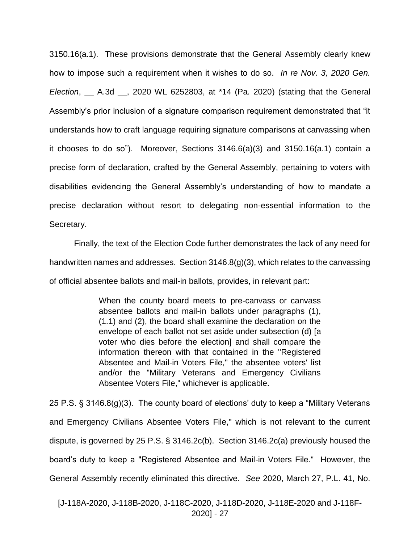3150.16(a.1). These provisions demonstrate that the General Assembly clearly knew how to impose such a requirement when it wishes to do so. *In re Nov. 3, 2020 Gen. Election*, \_\_ A.3d \_\_, 2020 WL 6252803, at \*14 (Pa. 2020) (stating that the General Assembly's prior inclusion of a signature comparison requirement demonstrated that "it understands how to craft language requiring signature comparisons at canvassing when it chooses to do so"). Moreover, Sections 3146.6(a)(3) and 3150.16(a.1) contain a precise form of declaration, crafted by the General Assembly, pertaining to voters with disabilities evidencing the General Assembly's understanding of how to mandate a precise declaration without resort to delegating non-essential information to the Secretary.

Finally, the text of the Election Code further demonstrates the lack of any need for handwritten names and addresses. Section 3146.8(g)(3), which relates to the canvassing of official absentee ballots and mail-in ballots, provides, in relevant part:

> When the county board meets to pre-canvass or canvass absentee ballots and mail-in ballots under paragraphs (1), (1.1) and (2), the board shall examine the declaration on the envelope of each ballot not set aside under subsection (d) [a voter who dies before the election] and shall compare the information thereon with that contained in the "Registered Absentee and Mail-in Voters File," the absentee voters' list and/or the "Military Veterans and Emergency Civilians Absentee Voters File," whichever is applicable.

25 P.S. § 3146.8(g)(3). The county board of elections' duty to keep a "Military Veterans and Emergency Civilians Absentee Voters File," which is not relevant to the current dispute, is governed by 25 P.S. § 3146.2c(b). Section 3146.2c(a) previously housed the board's duty to keep a "Registered Absentee and Mail-in Voters File." However, the General Assembly recently eliminated this directive. *See* 2020, March 27, P.L. 41, No.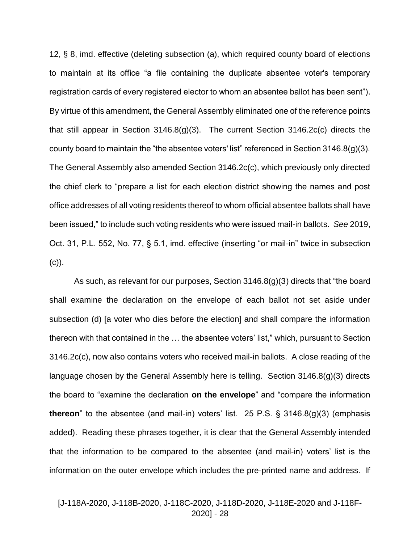12, § 8, imd. effective (deleting subsection (a), which required county board of elections to maintain at its office "a file containing the duplicate absentee voter's temporary registration cards of every registered elector to whom an absentee ballot has been sent"). By virtue of this amendment, the General Assembly eliminated one of the reference points that still appear in Section 3146.8(g)(3). The current Section 3146.2c(c) directs the county board to maintain the "the absentee voters' list" referenced in Section 3146.8(g)(3). The General Assembly also amended Section 3146.2c(c), which previously only directed the chief clerk to "prepare a list for each election district showing the names and post office addresses of all voting residents thereof to whom official absentee ballots shall have been issued," to include such voting residents who were issued mail-in ballots. *See* 2019, Oct. 31, P.L. 552, No. 77, § 5.1, imd. effective (inserting "or mail-in" twice in subsection  $(c)$ ).

As such, as relevant for our purposes, Section 3146.8(g)(3) directs that "the board shall examine the declaration on the envelope of each ballot not set aside under subsection (d) [a voter who dies before the election] and shall compare the information thereon with that contained in the … the absentee voters' list," which, pursuant to Section 3146.2c(c), now also contains voters who received mail-in ballots. A close reading of the language chosen by the General Assembly here is telling. Section 3146.8(g)(3) directs the board to "examine the declaration **on the envelope**" and "compare the information **thereon**" to the absentee (and mail-in) voters' list. 25 P.S. § 3146.8(g)(3) (emphasis added). Reading these phrases together, it is clear that the General Assembly intended that the information to be compared to the absentee (and mail-in) voters' list is the information on the outer envelope which includes the pre-printed name and address. If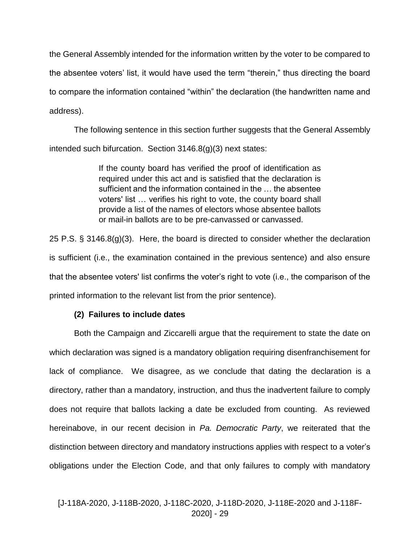the General Assembly intended for the information written by the voter to be compared to the absentee voters' list, it would have used the term "therein," thus directing the board to compare the information contained "within" the declaration (the handwritten name and address).

The following sentence in this section further suggests that the General Assembly intended such bifurcation. Section 3146.8(g)(3) next states:

> If the county board has verified the proof of identification as required under this act and is satisfied that the declaration is sufficient and the information contained in the … the absentee voters' list … verifies his right to vote, the county board shall provide a list of the names of electors whose absentee ballots or mail-in ballots are to be pre-canvassed or canvassed.

25 P.S. § 3146.8(g)(3). Here, the board is directed to consider whether the declaration is sufficient (i.e., the examination contained in the previous sentence) and also ensure that the absentee voters' list confirms the voter's right to vote (i.e., the comparison of the printed information to the relevant list from the prior sentence).

# **(2) Failures to include dates**

Both the Campaign and Ziccarelli argue that the requirement to state the date on which declaration was signed is a mandatory obligation requiring disenfranchisement for lack of compliance. We disagree, as we conclude that dating the declaration is a directory, rather than a mandatory, instruction, and thus the inadvertent failure to comply does not require that ballots lacking a date be excluded from counting. As reviewed hereinabove, in our recent decision in *Pa. Democratic Party*, we reiterated that the distinction between directory and mandatory instructions applies with respect to a voter's obligations under the Election Code, and that only failures to comply with mandatory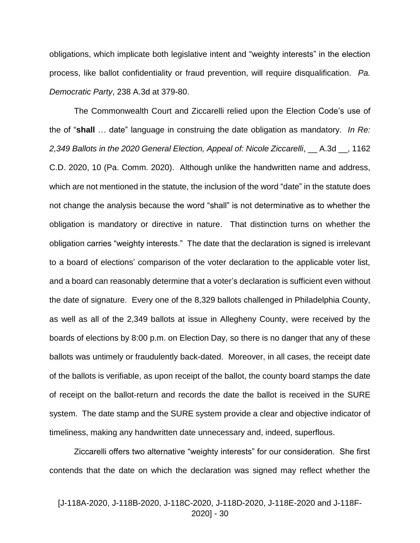obligations, which implicate both legislative intent and "weighty interests" in the election process, like ballot confidentiality or fraud prevention, will require disqualification. *Pa. Democratic Party*, 238 A.3d at 379-80.

The Commonwealth Court and Ziccarelli relied upon the Election Code's use of the of "**shall** … date" language in construing the date obligation as mandatory. *In Re: 2,349 Ballots in the 2020 General Election, Appeal of: Nicole Ziccarelli*, \_\_ A.3d \_\_, 1162 C.D. 2020, 10 (Pa. Comm. 2020). Although unlike the handwritten name and address, which are not mentioned in the statute, the inclusion of the word "date" in the statute does not change the analysis because the word "shall" is not determinative as to whether the obligation is mandatory or directive in nature. That distinction turns on whether the obligation carries "weighty interests." The date that the declaration is signed is irrelevant to a board of elections' comparison of the voter declaration to the applicable voter list, and a board can reasonably determine that a voter's declaration is sufficient even without the date of signature. Every one of the 8,329 ballots challenged in Philadelphia County, as well as all of the 2,349 ballots at issue in Allegheny County, were received by the boards of elections by 8:00 p.m. on Election Day, so there is no danger that any of these ballots was untimely or fraudulently back-dated. Moreover, in all cases, the receipt date of the ballots is verifiable, as upon receipt of the ballot, the county board stamps the date of receipt on the ballot-return and records the date the ballot is received in the SURE system. The date stamp and the SURE system provide a clear and objective indicator of timeliness, making any handwritten date unnecessary and, indeed, superflous.

Ziccarelli offers two alternative "weighty interests" for our consideration. She first contends that the date on which the declaration was signed may reflect whether the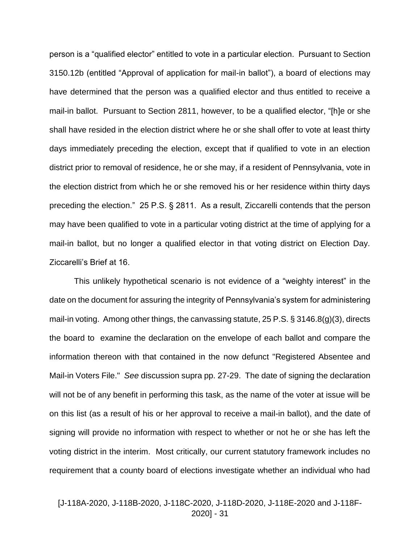person is a "qualified elector" entitled to vote in a particular election. Pursuant to Section 3150.12b (entitled "Approval of application for mail-in ballot"), a board of elections may have determined that the person was a qualified elector and thus entitled to receive a mail-in ballot. Pursuant to Section 2811, however, to be a qualified elector, "[h]e or she shall have resided in the election district where he or she shall offer to vote at least thirty days immediately preceding the election, except that if qualified to vote in an election district prior to removal of residence, he or she may, if a resident of Pennsylvania, vote in the election district from which he or she removed his or her residence within thirty days preceding the election." 25 P.S. § 2811. As a result, Ziccarelli contends that the person may have been qualified to vote in a particular voting district at the time of applying for a mail-in ballot, but no longer a qualified elector in that voting district on Election Day. Ziccarelli's Brief at 16.

This unlikely hypothetical scenario is not evidence of a "weighty interest" in the date on the document for assuring the integrity of Pennsylvania's system for administering mail-in voting. Among other things, the canvassing statute, 25 P.S. § 3146.8(g)(3), directs the board to examine the declaration on the envelope of each ballot and compare the information thereon with that contained in the now defunct "Registered Absentee and Mail-in Voters File." *See* discussion supra pp. 27-29. The date of signing the declaration will not be of any benefit in performing this task, as the name of the voter at issue will be on this list (as a result of his or her approval to receive a mail-in ballot), and the date of signing will provide no information with respect to whether or not he or she has left the voting district in the interim. Most critically, our current statutory framework includes no requirement that a county board of elections investigate whether an individual who had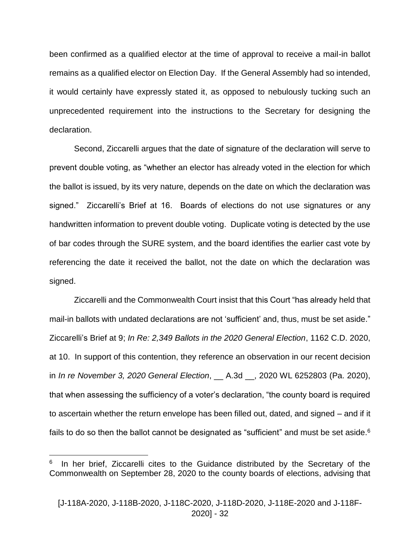been confirmed as a qualified elector at the time of approval to receive a mail-in ballot remains as a qualified elector on Election Day. If the General Assembly had so intended, it would certainly have expressly stated it, as opposed to nebulously tucking such an unprecedented requirement into the instructions to the Secretary for designing the declaration.

Second, Ziccarelli argues that the date of signature of the declaration will serve to prevent double voting, as "whether an elector has already voted in the election for which the ballot is issued, by its very nature, depends on the date on which the declaration was signed." Ziccarelli's Brief at 16. Boards of elections do not use signatures or any handwritten information to prevent double voting. Duplicate voting is detected by the use of bar codes through the SURE system, and the board identifies the earlier cast vote by referencing the date it received the ballot, not the date on which the declaration was signed.

Ziccarelli and the Commonwealth Court insist that this Court "has already held that mail-in ballots with undated declarations are not 'sufficient' and, thus, must be set aside." Ziccarelli's Brief at 9; *In Re: 2,349 Ballots in the 2020 General Election*, 1162 C.D. 2020, at 10. In support of this contention, they reference an observation in our recent decision in *In re November 3, 2020 General Election*, \_\_ A.3d \_\_, 2020 WL 6252803 (Pa. 2020), that when assessing the sufficiency of a voter's declaration, "the county board is required to ascertain whether the return envelope has been filled out, dated, and signed – and if it fails to do so then the ballot cannot be designated as "sufficient" and must be set aside.<sup>6</sup>

 $\overline{a}$ 

<sup>6</sup> In her brief, Ziccarelli cites to the Guidance distributed by the Secretary of the Commonwealth on September 28, 2020 to the county boards of elections, advising that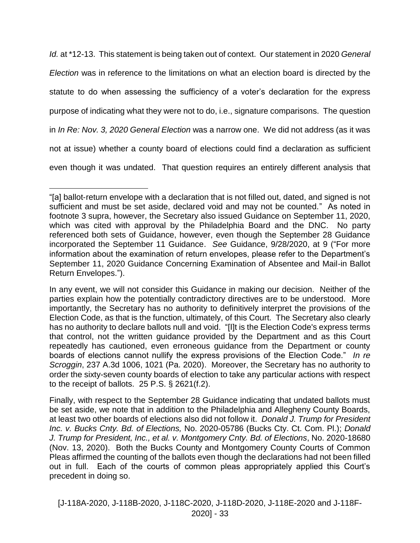*Id.* at \*12-13. This statement is being taken out of context. Our statement in 2020 *General Election* was in reference to the limitations on what an election board is directed by the statute to do when assessing the sufficiency of a voter's declaration for the express purpose of indicating what they were not to do, i.e., signature comparisons. The question in *In Re: Nov. 3, 2020 General Election* was a narrow one. We did not address (as it was not at issue) whether a county board of elections could find a declaration as sufficient even though it was undated. That question requires an entirely different analysis that

 $\overline{a}$ 

<sup>&</sup>quot;[a] ballot‐return envelope with a declaration that is not filled out, dated, and signed is not sufficient and must be set aside, declared void and may not be counted." As noted in footnote 3 supra, however, the Secretary also issued Guidance on September 11, 2020, which was cited with approval by the Philadelphia Board and the DNC. No party referenced both sets of Guidance, however, even though the September 28 Guidance incorporated the September 11 Guidance. *See* Guidance, 9/28/2020, at 9 ("For more information about the examination of return envelopes, please refer to the Department's September 11, 2020 Guidance Concerning Examination of Absentee and Mail‐in Ballot Return Envelopes.").

In any event, we will not consider this Guidance in making our decision. Neither of the parties explain how the potentially contradictory directives are to be understood. More importantly, the Secretary has no authority to definitively interpret the provisions of the Election Code, as that is the function, ultimately, of this Court. The Secretary also clearly has no authority to declare ballots null and void. "[I]t is the Election Code's express terms that control, not the written guidance provided by the Department and as this Court repeatedly has cautioned, even erroneous guidance from the Department or county boards of elections cannot nullify the express provisions of the Election Code." *In re Scroggin*, 237 A.3d 1006, 1021 (Pa. 2020). Moreover, the Secretary has no authority to order the sixty-seven county boards of election to take any particular actions with respect to the receipt of ballots. 25 P.S. § 2621(f.2).

Finally, with respect to the September 28 Guidance indicating that undated ballots must be set aside, we note that in addition to the Philadelphia and Allegheny County Boards, at least two other boards of elections also did not follow it. *Donald J. Trump for President Inc. v. Bucks Cnty. Bd. of Elections,* No. 2020-05786 (Bucks Cty. Ct. Com. Pl.); *Donald J. Trump for President, Inc., et al. v. Montgomery Cnty. Bd. of Elections*, No. 2020-18680 (Nov. 13, 2020). Both the Bucks County and Montgomery County Courts of Common Pleas affirmed the counting of the ballots even though the declarations had not been filled out in full. Each of the courts of common pleas appropriately applied this Court's precedent in doing so.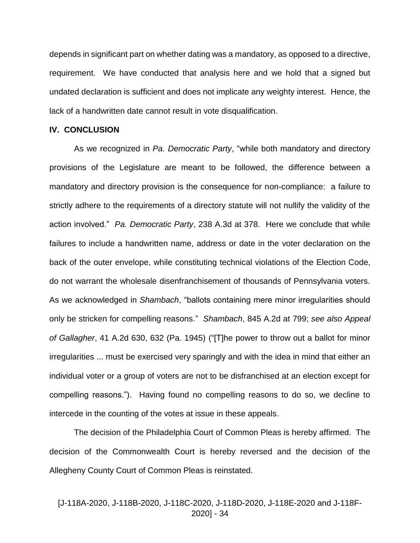depends in significant part on whether dating was a mandatory, as opposed to a directive, requirement. We have conducted that analysis here and we hold that a signed but undated declaration is sufficient and does not implicate any weighty interest. Hence, the lack of a handwritten date cannot result in vote disqualification.

#### **IV. CONCLUSION**

As we recognized in *Pa. Democratic Party*, "while both mandatory and directory provisions of the Legislature are meant to be followed, the difference between a mandatory and directory provision is the consequence for non-compliance: a failure to strictly adhere to the requirements of a directory statute will not nullify the validity of the action involved." *Pa. Democratic Party*, 238 A.3d at 378. Here we conclude that while failures to include a handwritten name, address or date in the voter declaration on the back of the outer envelope, while constituting technical violations of the Election Code, do not warrant the wholesale disenfranchisement of thousands of Pennsylvania voters. As we acknowledged in *Shambach*, "ballots containing mere minor irregularities should only be stricken for compelling reasons." *Shambach*, 845 A.2d at 799; *see also Appeal of Gallagher*, 41 A.2d 630, 632 (Pa. 1945) ("[T]he power to throw out a ballot for minor irregularities ... must be exercised very sparingly and with the idea in mind that either an individual voter or a group of voters are not to be disfranchised at an election except for compelling reasons."). Having found no compelling reasons to do so, we decline to intercede in the counting of the votes at issue in these appeals.

The decision of the Philadelphia Court of Common Pleas is hereby affirmed. The decision of the Commonwealth Court is hereby reversed and the decision of the Allegheny County Court of Common Pleas is reinstated.